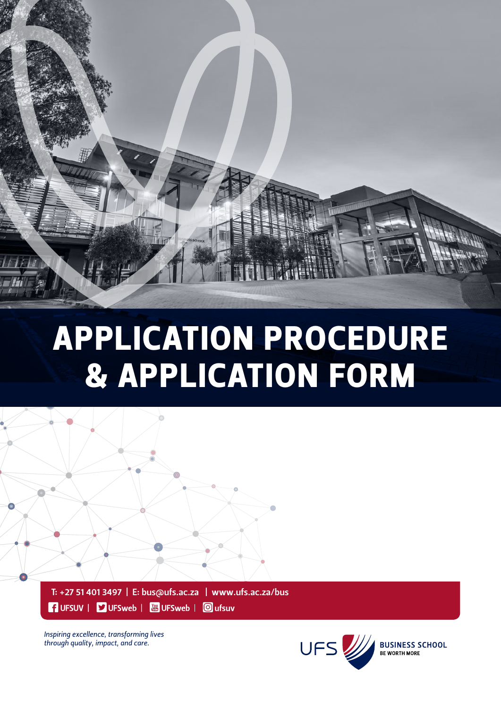

# Application procedure & Application form



FUFSUV | VUFSweb | 8 UFSweb | 0 ufsuv

Inspiring excellence, transforming lives through quality, impact, and care.

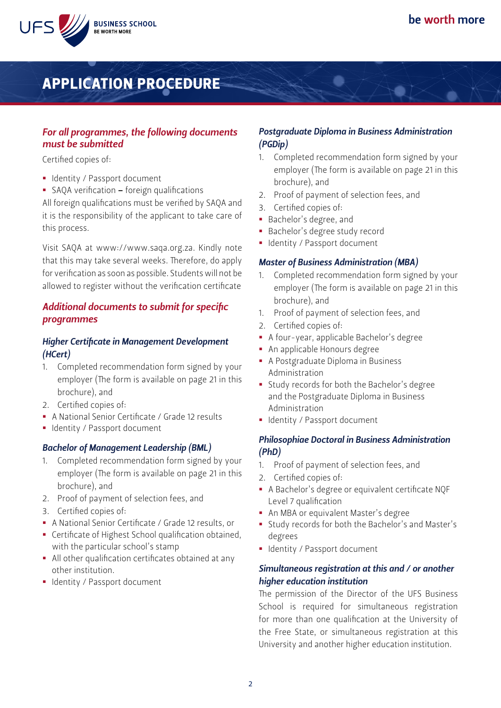



## Application procedure

#### *For all programmes, the following documents must be submitted*

Certified copies of:

- § Identity / Passport document
- § SAQA verification foreign qualifications

All foreign qualifications must be verified by SAQA and it is the responsibility of the applicant to take care of this process.

Visit SAQA at www://www.saqa.org.za. Kindly note that this may take several weeks. Therefore, do apply for verification as soon as possible. Students will not be allowed to register without the verification certificate

#### *Additional documents to submit for specific programmes*

#### *Higher Certificate in Management Development (HCert)*

- 1. Completed recommendation form signed by your employer (The form is available on page 21 in this brochure), and
- 2. Certified copies of:
- § A National Senior Certificate / Grade 12 results
- § Identity / Passport document

#### *Bachelor of Management Leadership (BML)*

- 1. Completed recommendation form signed by your employer (The form is available on page 21 in this brochure), and
- 2. Proof of payment of selection fees, and
- 3. Certified copies of:
- § A National Senior Certificate / Grade 12 results, or
- § Certificate of Highest School qualification obtained, with the particular school's stamp
- All other qualification certificates obtained at any other institution.
- Identity / Passport document

#### *Postgraduate Diploma in Business Administration (PGDip)*

- 1. Completed recommendation form signed by your employer (The form is available on page 21 in this brochure), and
- 2. Proof of payment of selection fees, and
- 3. Certified copies of:
- § Bachelor's degree, and
- § Bachelor's degree study record
- § Identity / Passport document

#### *Master of Business Administration (MBA)*

- 1. Completed recommendation form signed by your employer (The form is available on page 21 in this brochure), and
- 1. Proof of payment of selection fees, and
- 2. Certified copies of:
- § A four-year, applicable Bachelor's degree
- § An applicable Honours degree
- § A Postgraduate Diploma in Business Administration
- § Study records for both the Bachelor's degree and the Postgraduate Diploma in Business Administration
- § Identity / Passport document

#### *Philosophiae Doctoral in Business Administration (PhD)*

- 1. Proof of payment of selection fees, and
- 2. Certified copies of:
- § A Bachelor's degree or equivalent certificate NQF Level 7 qualification
- An MBA or equivalent Master's degree
- § Study records for both the Bachelor's and Master's degrees
- § Identity / Passport document

#### *Simultaneous registration at this and / or another higher education institution*

The permission of the Director of the UFS Business School is required for simultaneous registration for more than one qualification at the University of the Free State, or simultaneous registration at this University and another higher education institution.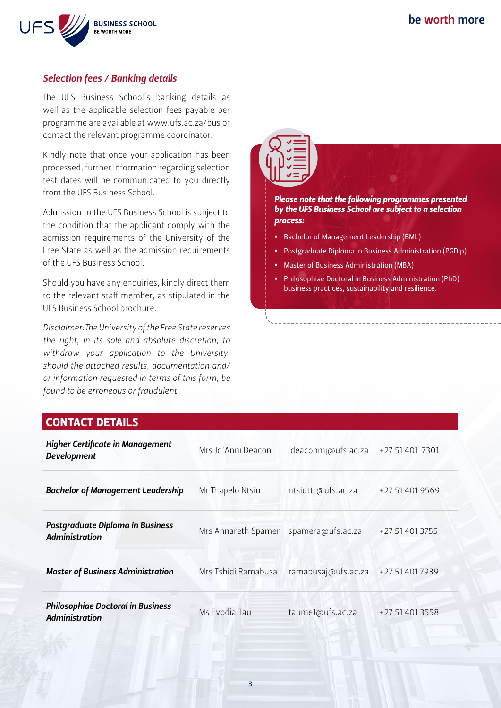

#### *Selection fees / Banking details*

The UFS Business School's banking details as well as the applicable selection fees payable per programme are available at www.ufs.ac.za/bus or contact the relevant programme coordinator.

Kindly note that once your application has been processed, further information regarding selection test dates will be communicated to you directly from the UFS Business School.

Admission to the UFS Business School is subject to the condition that the applicant comply with the admission requirements of the University of the Free State as well as the admission requirements of the UFS Business School.

Should you have any enquiries, kindly direct them to the relevant staff member, as stipulated in the UFS Business School brochure.

*Disclaimer:The University of the Free State reserves the right, in its sole and absolute discretion, to withdraw your application to the University, should the attached results, documentation and/ or information requested in terms of this form, be found to be erroneous or fraudulent.*

# *Please note that the following programmes presented by the UFS Business School are subject to a selection process:* § Bachelor of Management Leadership (BML) § Postgraduate Diploma in Business Administration (PGDip) § Master of Business Administration (MBA)

§ Philosophiae Doctoral in Business Administration (PhD) business practices, sustainability and resilience.

#### CONTACT DETAILS

| <b>Higher Certificate in Management</b><br><b>Development</b>     | Mrs Jo'Anni Deacon  | deaconmi@ufs.ac.za  | +27 51 401 7301 |
|-------------------------------------------------------------------|---------------------|---------------------|-----------------|
| <b>Bachelor of Management Leadership</b>                          | Mr Thapelo Ntsiu    | ntsiuttr@ufs.ac.za  | +27 51 401 9569 |
| <b>Postgraduate Diploma in Business</b><br><b>Administration</b>  | Mrs Annareth Spamer | spamera@ufs.ac.za   | +27 51 401 3755 |
| <b>Master of Business Administration</b>                          | Mrs Tshidi Ramabusa | ramabusaj@ufs.ac.za | +27 51 401 7939 |
| <b>Philosophiae Doctoral in Business</b><br><b>Administration</b> | Ms Evodia Tau       | taume1@ufs.ac.za    | +27 51 401 3558 |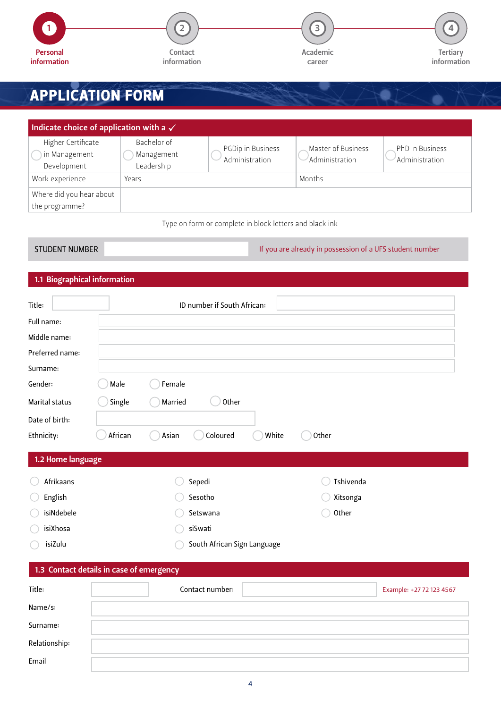

# Application form

| Indicate choice of application with a $\checkmark$ |                                         |                                     |                                      |                                   |  |
|----------------------------------------------------|-----------------------------------------|-------------------------------------|--------------------------------------|-----------------------------------|--|
| Higher Certificate<br>in Management<br>Development | Bachelor of<br>Management<br>Leadership | PGDip in Business<br>Administration | Master of Business<br>Administration | PhD in Business<br>Administration |  |
| Work experience                                    | Years                                   |                                     | Months                               |                                   |  |
| Where did you hear about<br>the programme?         |                                         |                                     |                                      |                                   |  |

Type on form or complete in block letters and black ink

#### 1.1 Biographical information

| Title:                                   |         | ID number if South African: |       |           |                          |
|------------------------------------------|---------|-----------------------------|-------|-----------|--------------------------|
| Full name:                               |         |                             |       |           |                          |
| Middle name:                             |         |                             |       |           |                          |
| Preferred name:                          |         |                             |       |           |                          |
| Surname:                                 |         |                             |       |           |                          |
| Gender:                                  | Male    | Female                      |       |           |                          |
| Marital status                           | Single  | Married<br>Other            |       |           |                          |
| Date of birth:                           |         |                             |       |           |                          |
| Ethnicity:                               | African | Coloured<br>Asian           | White | Other     |                          |
| 1.2 Home language                        |         |                             |       |           |                          |
| Afrikaans                                |         | Sepedi                      |       | Tshivenda |                          |
| English                                  |         | Sesotho                     |       | Xitsonga  |                          |
| isiNdebele                               |         | Setswana                    |       | Other     |                          |
| isiXhosa                                 |         | siSwati                     |       |           |                          |
| isiZulu                                  |         | South African Sign Language |       |           |                          |
| 1.3 Contact details in case of emergency |         |                             |       |           |                          |
| Title:                                   |         | Contact number:             |       |           | Example: +27 72 123 4567 |
| Name/s:                                  |         |                             |       |           |                          |
| Surname:                                 |         |                             |       |           |                          |
| Relationship:                            |         |                             |       |           |                          |
| Email                                    |         |                             |       |           |                          |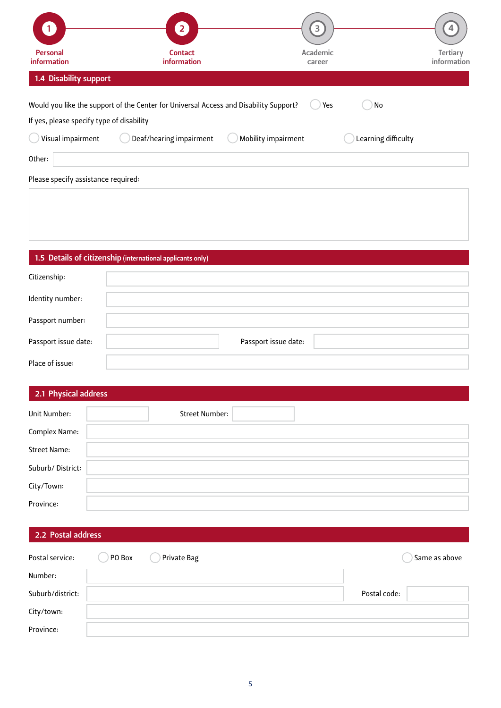|                                           | $\mathbf{2}^{\prime}$                                                                 | 3                   |                     |                         |
|-------------------------------------------|---------------------------------------------------------------------------------------|---------------------|---------------------|-------------------------|
| Personal<br>information                   | <b>Contact</b><br>information                                                         | Academic<br>career  |                     | Tertiary<br>information |
| 1.4 Disability support                    |                                                                                       |                     |                     |                         |
|                                           | Would you like the support of the Center for Universal Access and Disability Support? | Yes                 | No                  |                         |
| If yes, please specify type of disability |                                                                                       |                     |                     |                         |
| Visual impairment                         | Deaf/hearing impairment                                                               | Mobility impairment | Learning difficulty |                         |
| Other:                                    |                                                                                       |                     |                     |                         |
| Please specify assistance required:       |                                                                                       |                     |                     |                         |
|                                           |                                                                                       |                     |                     |                         |
|                                           |                                                                                       |                     |                     |                         |

#### 1.5 Details of citizenship (international applicants only)

| Citizenship:         |                      |
|----------------------|----------------------|
| Identity number:     |                      |
| Passport number:     |                      |
| Passport issue date: | Passport issue date: |
| Place of issue:      |                      |

#### 2.1 Physical address

| Unit Number:     | <b>Street Number:</b> |
|------------------|-----------------------|
| Complex Name:    |                       |
| Street Name:     |                       |
| Suburb/District: |                       |
| City/Town:       |                       |
| Province:        |                       |

#### 2.2 Postal address

| Postal service:  | PO Box | Private Bag |              | Same as above |
|------------------|--------|-------------|--------------|---------------|
| Number:          |        |             |              |               |
| Suburb/district: |        |             | Postal code: |               |
| City/town:       |        |             |              |               |
| Province:        |        |             |              |               |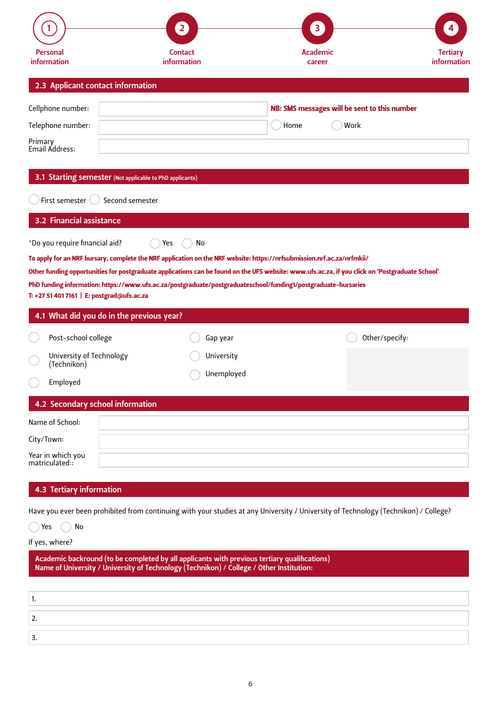|                                                          | $\overline{2}$                                                                                                                                  | 3                                            |                                |
|----------------------------------------------------------|-------------------------------------------------------------------------------------------------------------------------------------------------|----------------------------------------------|--------------------------------|
| Personal<br>information                                  | <b>Contact</b><br>information                                                                                                                   | Academic<br>career                           | <b>Tertiary</b><br>information |
| 2.3 Applicant contact information                        |                                                                                                                                                 |                                              |                                |
| Cellphone number:                                        |                                                                                                                                                 | NB: SMS messages will be sent to this number |                                |
| Telephone number:                                        |                                                                                                                                                 | Home                                         | Work                           |
| Primary<br>Email Address:                                |                                                                                                                                                 |                                              |                                |
| 3.1 Starting semester (Not applicable to PhD applicants) |                                                                                                                                                 |                                              |                                |
| First semester (                                         | Second semester                                                                                                                                 |                                              |                                |
| 3.2 Financial assistance                                 |                                                                                                                                                 |                                              |                                |
| *Do you require financial aid?                           | No<br>Yes                                                                                                                                       |                                              |                                |
|                                                          | To apply for an NRF bursary, complete the NRF application on the NRF website: https://nrfsubmission.nrf.ac.za/nrfmkii/                          |                                              |                                |
|                                                          | Other funding opportunities for postgraduate applications can be found on the UFS website: www.ufs.ac.za, if you click on 'Postgraduate School' |                                              |                                |
| T: +27 51 401 7161   E: postgrad@ufs.ac.za               | PhD funding information: https://www.ufs.ac.za/postgraduate/postgraduateschool/funding1/postgraduate-bursaries                                  |                                              |                                |
| 4.1 What did you do in the previous year?                |                                                                                                                                                 |                                              |                                |
| Post-school college                                      | Gap year                                                                                                                                        |                                              | Other/specify:                 |
| University of Technology                                 | University                                                                                                                                      |                                              |                                |
| (Technikon)<br>Employed                                  | Unemployed                                                                                                                                      |                                              |                                |
| 4.2 Secondary school information                         |                                                                                                                                                 |                                              |                                |
| Name of School:                                          |                                                                                                                                                 |                                              |                                |
| City/Town:                                               |                                                                                                                                                 |                                              |                                |
| Year in which you<br>matriculated::                      |                                                                                                                                                 |                                              |                                |
| 4.3 Tertiary information                                 |                                                                                                                                                 |                                              |                                |
|                                                          | Have you ever been prohibited from continuing with your studies at any University / University of Technology (Technikon) / College?             |                                              |                                |
| No<br>Yes                                                |                                                                                                                                                 |                                              |                                |
| If yes, where?                                           |                                                                                                                                                 |                                              |                                |

| Academic backround (to be completed by all applicants with previous tertiary qualifications) |
|----------------------------------------------------------------------------------------------|
| Name of University / University of Technology (Technikon) / College / Other Institution:     |

| <u>.</u> |  |
|----------|--|
|          |  |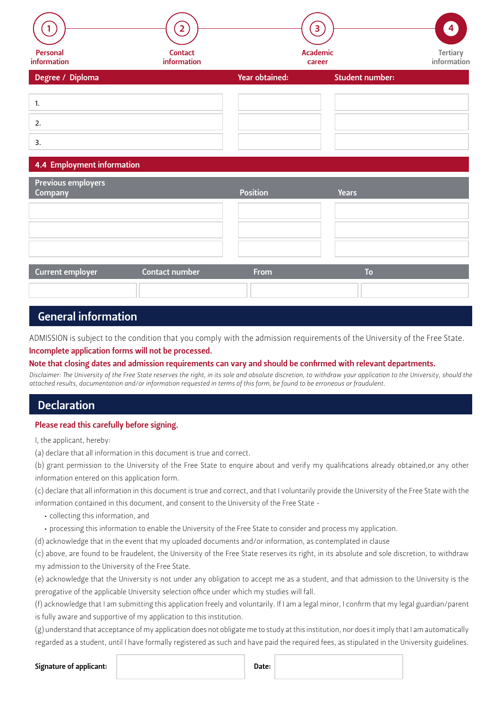|                            |                               |                | 3                         | 4 <sup>1</sup>          |
|----------------------------|-------------------------------|----------------|---------------------------|-------------------------|
| Personal<br>information    | <b>Contact</b><br>information |                | <b>Academic</b><br>career | Tertiary<br>information |
| Degree / Diploma           |                               | Year obtained: | <b>Student number:</b>    |                         |
| 1.                         |                               |                |                           |                         |
| 2.                         |                               |                |                           |                         |
| 3.                         |                               |                |                           |                         |
| 4.4 Employment information |                               |                |                           |                         |
| <b>Previous employers</b>  |                               |                |                           |                         |

| 4.4 Employment information |                |                 |              |
|----------------------------|----------------|-----------------|--------------|
|                            |                |                 |              |
| <b>Previous employers</b>  |                |                 |              |
| <b>Company</b>             |                | <b>Position</b> | <b>Years</b> |
|                            |                |                 |              |
|                            |                |                 |              |
|                            |                |                 |              |
|                            |                |                 |              |
|                            |                |                 |              |
|                            |                |                 |              |
|                            |                |                 |              |
|                            |                |                 |              |
|                            |                |                 |              |
| Current employer           | Contact number | <b>From</b>     | Tο           |

#### General information

ADMISSION is subject to the condition that you comply with the admission requirements of the University of the Free State.

#### Incomplete application forms will not be processed.

Note that closing dates and admission requirements can vary and should be confirmed with relevant departments.

*Disclaimer: The University of the Free State reserves the right, in its sole and absolute discretion, to withdraw your application to the University, should the attached results, documentation and/or information requested in terms of this form, be found to be erroneous or fraudulent.*

#### Declaration

#### Please read this carefully before signing.

I, the applicant, hereby:

(a) declare that all information in this document is true and correct.

(b) grant permission to the University of the Free State to enquire about and verify my qualifications already obtained,or any other information entered on this application form.

(c) declare that all information in this document is true and correct, and that I voluntarily provide the University of the Free State with the information contained in this document, and consent to the University of the Free State -

- collecting this information, and
- • processing this information to enable the University of the Free State to consider and process my application.

(d) acknowledge that in the event that my uploaded documents and/or information, as contemplated in clause

(c) above, are found to be fraudelent, the University of the Free State reserves its right, in its absolute and sole discretion, to withdraw my admission to the University of the Free State.

(e) acknowledge that the University is not under any obligation to accept me as a student, and that admission to the University is the prerogative of the applicable University selection office under which my studies will fall.

(f) acknowledge that I am submitting this application freely and voluntarily. If I am a legal minor, I confirm that my legal guardian/parent is fully aware and supportive of my application to this institution.

(g) understand that acceptance of my application does not obligate me to study at this institution, nor does it imply that I am automatically regarded as a student, until I have formally registered as such and have paid the required fees, as stipulated in the University guidelines.

#### Signature of applicant: Date: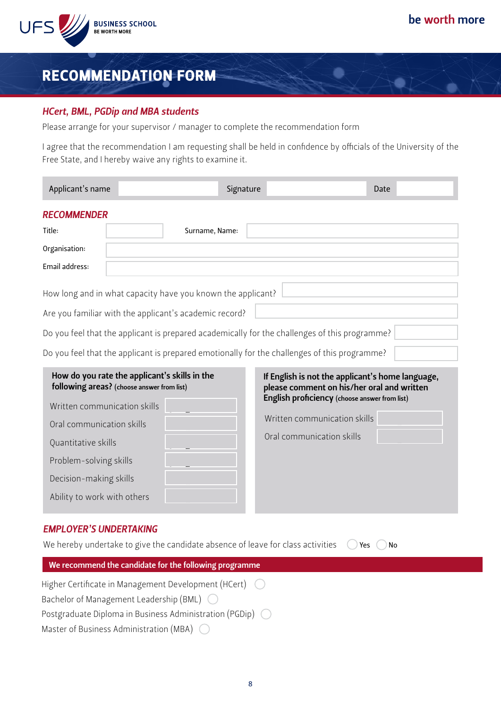

### Recommendation form

#### *HCert, BML, PGDip and MBA students*

Please arrange for your supervisor / manager to complete the recommendation form

I agree that the recommendation I am requesting shall be held in confidence by officials of the University of the Free State, and I hereby waive any rights to examine it.

| Applicant's name                                                                                                                                                                                                                                                                                                       | Signature      | Date                                                                                                                                            |
|------------------------------------------------------------------------------------------------------------------------------------------------------------------------------------------------------------------------------------------------------------------------------------------------------------------------|----------------|-------------------------------------------------------------------------------------------------------------------------------------------------|
| <b>RECOMMENDER</b>                                                                                                                                                                                                                                                                                                     |                |                                                                                                                                                 |
| Title:                                                                                                                                                                                                                                                                                                                 | Surname, Name: |                                                                                                                                                 |
| Organisation:                                                                                                                                                                                                                                                                                                          |                |                                                                                                                                                 |
| Email address:                                                                                                                                                                                                                                                                                                         |                |                                                                                                                                                 |
| How long and in what capacity have you known the applicant?<br>Are you familiar with the applicant's academic record?<br>Do you feel that the applicant is prepared academically for the challenges of this programme?<br>Do you feel that the applicant is prepared emotionally for the challenges of this programme? |                |                                                                                                                                                 |
| How do you rate the applicant's skills in the<br>following areas? (choose answer from list)<br>Written communication skills                                                                                                                                                                                            |                | If English is not the applicant's home language,<br>please comment on his/her oral and written<br>English proficiency (choose answer from list) |

|        | Written communication skills |
|--------|------------------------------|
| $\sim$ | Oral communication skills    |
|        |                              |
|        |                              |
|        |                              |
|        |                              |

#### *EMPLOYER'S UNDERTAKING*

Ability to work with others

Oral communication skills

Quantitative skills

Problem-solving skills

Decision-making skills

| We hereby undertake to give the candidate absence of leave for class activities $\bigcirc$ Yes $\bigcirc$ No |  |  |
|--------------------------------------------------------------------------------------------------------------|--|--|
|--------------------------------------------------------------------------------------------------------------|--|--|

| We recommend the candidate for the following programme             |
|--------------------------------------------------------------------|
| Higher Certificate in Management Development (HCert) (             |
| Bachelor of Management Leadership (BML) $\bigcirc$                 |
| Postgraduate Diploma in Business Administration (PGDip) $\bigcirc$ |
| Master of Business Administration (MBA) $\bigcirc$                 |